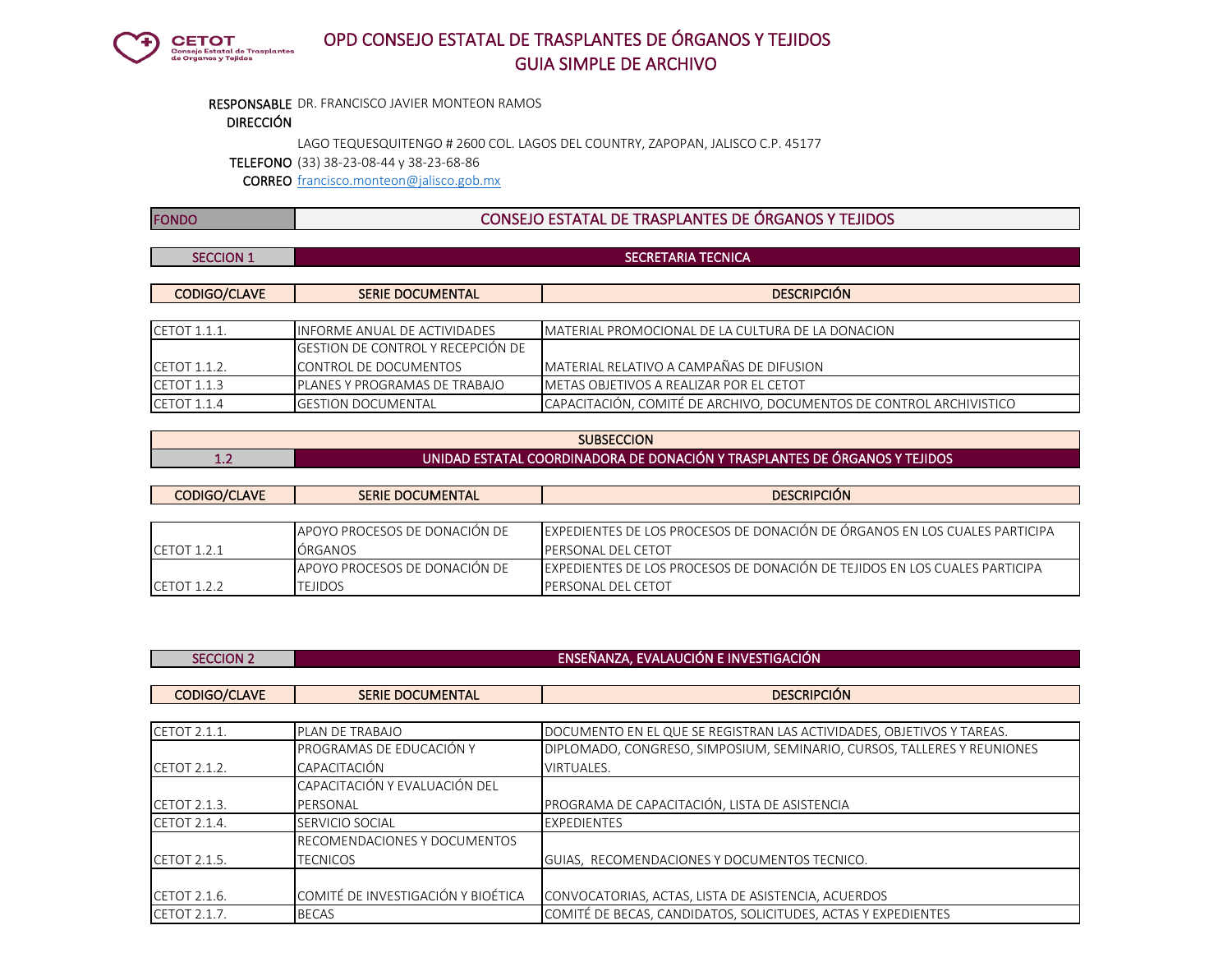

#### RESPONSABLE DR. FRANCISCO JAVIER MONTEON RAMOS

#### DIRECCIÓN

SECCION<sub>1</sub>

**The Contract** 

LAGO TEQUESQUITENGO # 2600 COL. LAGOS DEL COUNTRY, ZAPOPAN, JALISCO C.P. 45177

TELEFONO (33) 38-23-08-44 y 38-23-68-86

CORREO [francisco.monteon@jalisco.gob.mx](mailto:francisco.monteon@jalisco.gob.mx)

| <b>FOND</b> | CONSEJO ESTATAL DE TRASPLANTES DE ÓRGANOS Y TEJIDOS |
|-------------|-----------------------------------------------------|
|-------------|-----------------------------------------------------|

| <b>SECCION 1</b>    | SECRETARIA TECNICA                 |                                                                     |
|---------------------|------------------------------------|---------------------------------------------------------------------|
|                     |                                    |                                                                     |
| <b>CODIGO/CLAVE</b> | <b>SERIE DOCUMENTAL</b>            | <b>DESCRIPCIÓN</b>                                                  |
|                     |                                    |                                                                     |
| CETOT 1.1.1.        | INFORME ANUAL DE ACTIVIDADES       | IMATERIAL PROMOCIONAL DE LA CULTURA DE LA DONACION                  |
|                     | IGESTION DE CONTROL Y RECEPCIÓN DE |                                                                     |
| CETOT 1.1.2.        | CONTROL DE DOCUMENTOS              | MATERIAL RELATIVO A CAMPAÑAS DE DIFUSION                            |
| CETOT 1.1.3         | PLANES Y PROGRAMAS DE TRABAJO      | <b>IMETAS OBJETIVOS A REALIZAR POR EL CETOT</b>                     |
| <b>CETOT 1.1.4</b>  | <b>GESTION DOCUMENTAL</b>          | CAPACITACIÓN, COMITÉ DE ARCHIVO, DOCUMENTOS DE CONTROL ARCHIVISTICO |

| <b>SUBSECCION</b> |                                                                              |
|-------------------|------------------------------------------------------------------------------|
| - -               | , UNIDAD ESTATAL COORDINADORA DE DONACIÓN Y TRASPLANTES DE ÓRGANOS Y TEJIDOS |

| CODIGO/CLAVE       | <b>SERIE DOCUMENTAL</b>        | <b>DESCRIPCIÓN</b>                                                                 |
|--------------------|--------------------------------|------------------------------------------------------------------------------------|
|                    |                                |                                                                                    |
|                    | LAPOYO PROCESOS DE DONACIÓN DE | <b>LEXPEDIENTES DE LOS PROCESOS DE DONACIÓN DE ÓRGANOS EN LOS CUALES PARTICIPA</b> |
| <b>CETOT 1.2.1</b> | ÓRGANOS                        | <b>IPERSONAL DEL CETOT</b>                                                         |
|                    | LAPOYO PROCESOS DE DONACIÓN DE | EXPEDIENTES DE LOS PROCESOS DE DONACIÓN DE TEJIDOS EN LOS CUALES PARTICIPA         |
| CETOT 1.2.2        | <b>TEJIDOS</b>                 | <b>IPERSONAL DEL CETOT</b>                                                         |

|  | <b>SECCION 2</b> |
|--|------------------|
|--|------------------|

#### ENSEÑANZA, EVALAUCIÓN E INVESTIGACIÓN

| <b>CODIGO/CLAVE</b>  | <b>SERIE DOCUMENTAL</b>              | <b>DESCRIPCIÓN</b>                                                      |
|----------------------|--------------------------------------|-------------------------------------------------------------------------|
|                      |                                      |                                                                         |
| CETOT 2.1.1.         | <b>PLAN DE TRABAJO</b>               | DOCUMENTO EN EL QUE SE REGISTRAN LAS ACTIVIDADES, OBJETIVOS Y TAREAS.   |
|                      | <b>PROGRAMAS DE EDUCACIÓN Y</b>      | DIPLOMADO, CONGRESO, SIMPOSIUM, SEMINARIO, CURSOS, TALLERES Y REUNIONES |
| <b>CETOT 2.1.2.</b>  | <b>CAPACITACIÓN</b>                  | <b>VIRTUALES.</b>                                                       |
|                      | CAPACITACIÓN Y EVALUACIÓN DEL        |                                                                         |
| <b>ICETOT 2.1.3.</b> | PERSONAL                             | PROGRAMA DE CAPACITACIÓN, LISTA DE ASISTENCIA                           |
| <b>CETOT 2.1.4.</b>  | SERVICIO SOCIAL                      | <b>EXPEDIENTES</b>                                                      |
|                      | <b>IRECOMENDACIONES Y DOCUMENTOS</b> |                                                                         |
| <b>CETOT 2.1.5.</b>  | <b>TECNICOS</b>                      | GUIAS, RECOMENDACIONES Y DOCUMENTOS TECNICO.                            |
|                      |                                      |                                                                         |
| CETOT 2.1.6.         | COMITÉ DE INVESTIGACIÓN Y BIOÉTICA   | CONVOCATORIAS, ACTAS, LISTA DE ASISTENCIA, ACUERDOS                     |
| CETOT 2.1.7.         | <b>BECAS</b>                         | COMITÉ DE BECAS, CANDIDATOS, SOLICITUDES, ACTAS Y EXPEDIENTES           |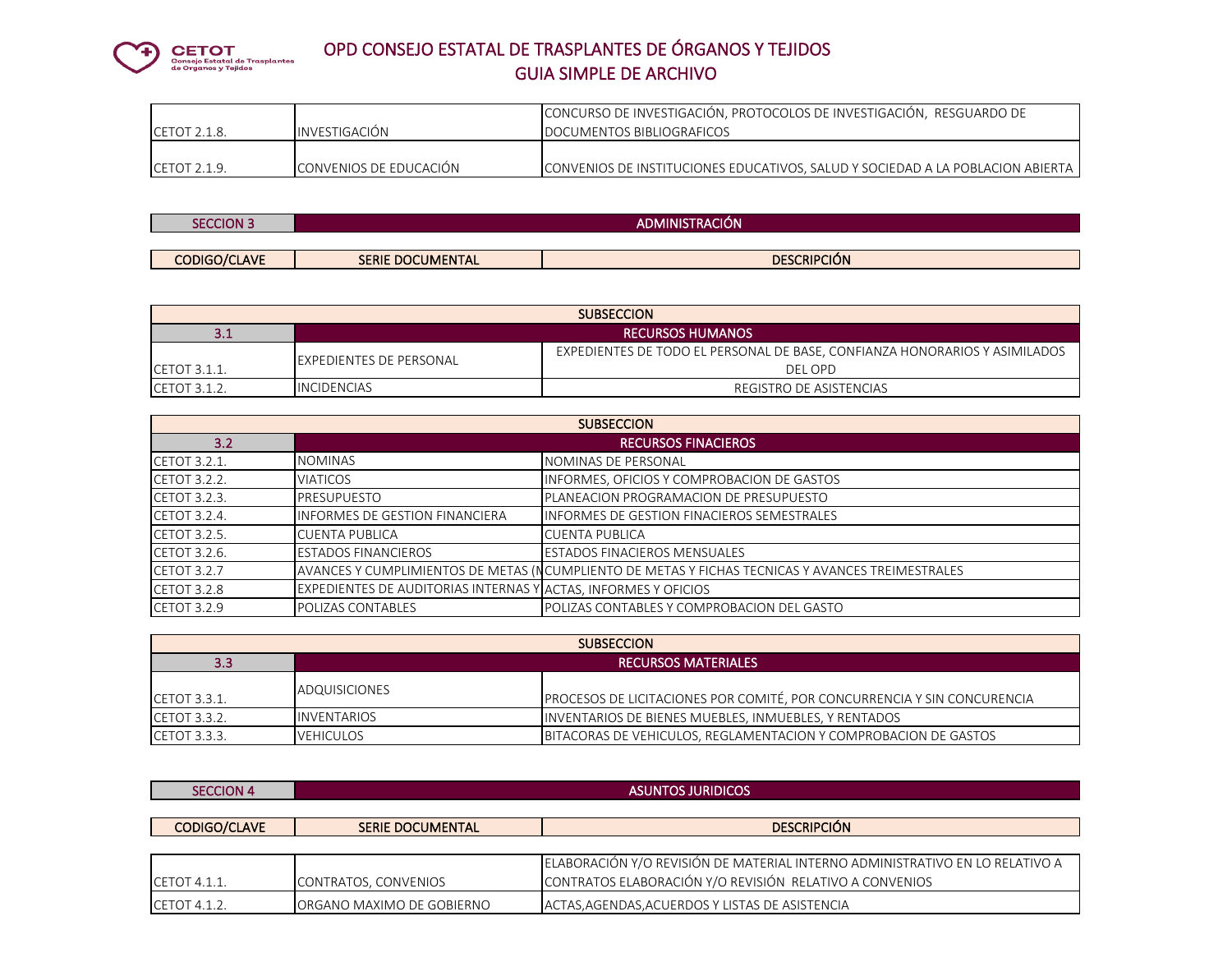

|              |                        | CONCURSO DE INVESTIGACIÓN, PROTOCOLOS DE INVESTIGACIÓN. RESGUARDO DE                     |
|--------------|------------------------|------------------------------------------------------------------------------------------|
| TFTOTZ       | <b>INVESTIGACIÓN</b>   | DOCUMENTOS BIBLIOGRAFICOS                                                                |
|              |                        |                                                                                          |
| <b>CETOT</b> | CONVENIOS DE EDUCACIÓN | <u>ICONVENIOS DE INSTITUCIONES EDUCATIVOS, SALUD Y SOCIEDAD A LA POBLACION ABIERTA I</u> |

| צ מרור              | ADMINISTRACIÓN (        |                    |
|---------------------|-------------------------|--------------------|
|                     |                         |                    |
| <b>CODIGO/CLAVE</b> | <b>SERIE DOCUMENTAL</b> | <b>DESCRIPCIÓN</b> |

| <b>SUBSECCION</b>    |                         |                                                                            |
|----------------------|-------------------------|----------------------------------------------------------------------------|
|                      | <b>RECURSOS HUMANOS</b> |                                                                            |
|                      | EXPEDIENTES DE PERSONAL | EXPEDIENTES DE TODO EL PERSONAL DE BASE, CONFIANZA HONORARIOS Y ASIMILADOS |
| $CETOT$ 3.1.1.       |                         | DEL OPD                                                                    |
| <b>ICETOT 3.1.2.</b> | <b>INCIDENCIAS</b>      | REGISTRO DE ASISTENCIAS                                                    |

| <b>SUBSECCION</b>   |                                                                |                                                                                                  |
|---------------------|----------------------------------------------------------------|--------------------------------------------------------------------------------------------------|
| 3.2                 |                                                                | <b>RECURSOS FINACIEROS</b>                                                                       |
| <b>CETOT 3.2.1.</b> | <b>NOMINAS</b>                                                 | NOMINAS DE PERSONAL                                                                              |
| <b>CETOT 3.2.2.</b> | <b>VIATICOS</b>                                                | INFORMES, OFICIOS Y COMPROBACION DE GASTOS                                                       |
| CETOT 3.2.3.        | <b>PRESUPUESTO</b>                                             | PLANEACION PROGRAMACION DE PRESUPUESTO                                                           |
| <b>CETOT 3.2.4.</b> | <b>INFORMES DE GESTION FINANCIERA</b>                          | INFORMES DE GESTION FINACIEROS SEMESTRALES                                                       |
| CETOT 3.2.5.        | <b>CUENTA PUBLICA</b>                                          | <b>CUENTA PUBLICA</b>                                                                            |
| <b>CETOT 3.2.6.</b> | <b>ESTADOS FINANCIEROS</b>                                     | ESTADOS FINACIEROS MENSUALES                                                                     |
| CETOT 3.2.7         |                                                                | AVANCES Y CUMPLIMIENTOS DE METAS (NCUMPLIENTO DE METAS Y FICHAS TECNICAS Y AVANCES TREIMESTRALES |
| CETOT 3.2.8         | EXPEDIENTES DE AUDITORIAS INTERNAS Y ACTAS, INFORMES Y OFICIOS |                                                                                                  |
| <b>CETOT 3.2.9</b>  | POLIZAS CONTABLES                                              | POLIZAS CONTABLES Y COMPROBACION DEL GASTO                                                       |

| <b>SUBSECCION</b>    |                            |                                                                         |
|----------------------|----------------------------|-------------------------------------------------------------------------|
| 3.3                  | <b>RECURSOS MATERIALES</b> |                                                                         |
| <b>ICETOT 3.3.1.</b> | <b>ADQUISICIONES</b>       | PROCESOS DE LICITACIONES POR COMITÉ, POR CONCURRENCIA Y SIN CONCURENCIA |
| CETOT 3.3.2.         | INVENTARIOS                | INVENTARIOS DE BIENES MUEBLES, INMUEBLES, Y RENTADOS                    |
| <b>CETOT 3.3.3.</b>  | <b>VEHICULOS</b>           | BITACORAS DE VEHICULOS, REGLAMENTACION Y COMPROBACION DE GASTOS         |

| <b>SECCION 4</b>     | ASUNTOS JURIDICOS '        |                                                                              |
|----------------------|----------------------------|------------------------------------------------------------------------------|
|                      |                            |                                                                              |
| CODIGO/CLAVE         | <b>SERIE DOCUMENTAL</b>    | <b>DESCRIPCIÓN</b>                                                           |
|                      |                            |                                                                              |
|                      |                            | ELABORACIÓN Y/O REVISIÓN DE MATERIAL INTERNO ADMINISTRATIVO EN LO RELATIVO A |
| CETOT 4.1.1.         | CONTRATOS, CONVENIOS       | CONTRATOS ELABORACIÓN Y/O REVISIÓN RELATIVO A CONVENIOS                      |
| <b>ICETOT 4.1.2.</b> | IORGANO MAXIMO DE GOBIERNO | ACTAS, AGENDAS, ACUERDOS Y LISTAS DE ASISTENCIA                              |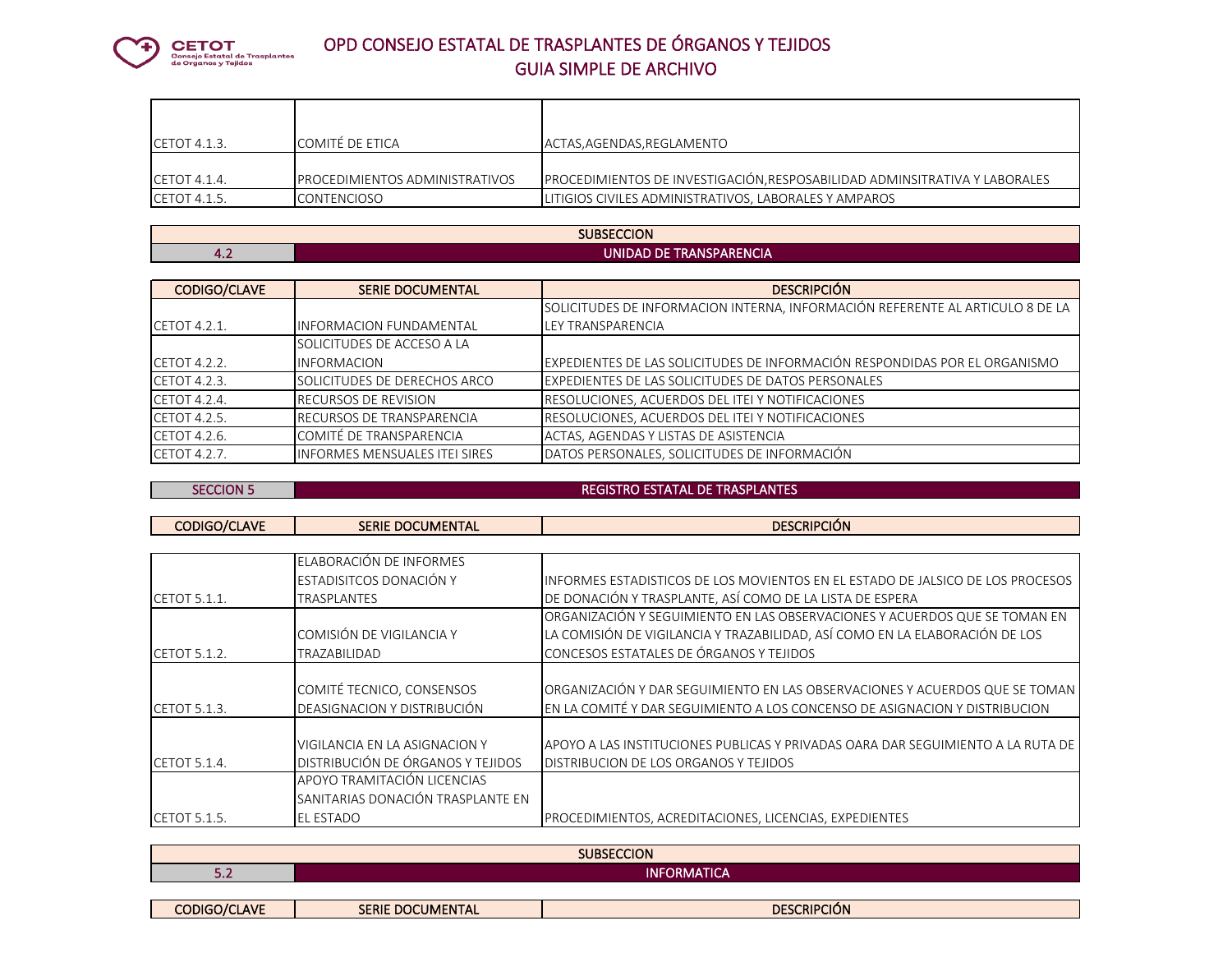

| CETOT 4.1.3.         | COMITÉ DE ETICA                        | ACTAS.AGENDAS.REGLAMENTO                                                   |
|----------------------|----------------------------------------|----------------------------------------------------------------------------|
|                      |                                        |                                                                            |
| CETOT 4.1.4.         | <b>IPROCEDIMIENTOS ADMINISTRATIVOS</b> | PROCEDIMIENTOS DE INVESTIGACIÓN, RESPOSABILIDAD ADMINSITRATIVA Y LABORALES |
| <b>ICETOT 4.1.5.</b> | <b>CONTENCIOSO</b>                     | LITIGIOS CIVILES ADMINISTRATIVOS, LABORALES Y AMPAROS                      |

### **SUBSECCION** UNIDAD DE TRANSPARENCIA

| <b>CODIGO/CLAVE</b> | <b>SERIE DOCUMENTAL</b>           | <b>DESCRIPCIÓN</b>                                                            |
|---------------------|-----------------------------------|-------------------------------------------------------------------------------|
|                     |                                   | SOLICITUDES DE INFORMACION INTERNA, INFORMACIÓN REFERENTE AL ARTICULO 8 DE LA |
| <b>CETOT 4.2.1.</b> | IINFORMACION FUNDAMENTAL          | LEY TRANSPARENCIA                                                             |
|                     | SOLICITUDES DE ACCESO A LA        |                                                                               |
| <b>CETOT 4.2.2.</b> | INFORMACION                       | EXPEDIENTES DE LAS SOLICITUDES DE INFORMACIÓN RESPONDIDAS POR EL ORGANISMO    |
| <b>CETOT 4.2.3.</b> | SOLICITUDES DE DERECHOS ARCO      | EXPEDIENTES DE LAS SOLICITUDES DE DATOS PERSONALES                            |
| <b>CETOT 4.2.4.</b> | <b>RECURSOS DE REVISION</b>       | RESOLUCIONES, ACUERDOS DEL ITEI Y NOTIFICACIONES                              |
| <b>CETOT 4.2.5.</b> | <b>IRECURSOS DE TRANSPARENCIA</b> | RESOLUCIONES, ACUERDOS DEL ITEI Y NOTIFICACIONES                              |
| <b>CETOT 4.2.6.</b> | COMITÉ DE TRANSPARENCIA           | ACTAS, AGENDAS Y LISTAS DE ASISTENCIA                                         |
| CETOT 4.2.7.        | IINFORMES MENSUALES ITEI SIRES    | DATOS PERSONALES, SOLICITUDES DE INFORMACIÓN                                  |

CODIGO/CLAVE SERIE DOCUMENTAL DESCRIPCIÓN DESCRIPCIÓN

SECCION 5

4.2

#### REGISTRO ESTATAL DE TRASPLANTES

| <b>CODIODICLAVE</b> | <b>SENIE DUCUMENTAL</b>           | <b>ULSUNIFUIUI</b>                                                              |
|---------------------|-----------------------------------|---------------------------------------------------------------------------------|
|                     |                                   |                                                                                 |
|                     | ELABORACIÓN DE INFORMES           |                                                                                 |
|                     | ESTADISITCOS DONACIÓN Y           | INFORMES ESTADISTICOS DE LOS MOVIENTOS EN EL ESTADO DE JALSICO DE LOS PROCESOS. |
| <b>CETOT 5.1.1.</b> | <b>TRASPLANTES</b>                | DE DONACIÓN Y TRASPLANTE, ASÍ COMO DE LA LISTA DE ESPERA                        |
|                     |                                   | ORGANIZACIÓN Y SEGUIMIENTO EN LAS OBSERVACIONES Y ACUERDOS QUE SE TOMAN EN      |
|                     | COMISIÓN DE VIGILANCIA Y          | LA COMISIÓN DE VIGILANCIA Y TRAZABILIDAD, ASÍ COMO EN LA ELABORACIÓN DE LOS     |
| <b>CETOT 5.1.2.</b> | TRAZABILIDAD                      | CONCESOS ESTATALES DE ÓRGANOS Y TEJIDOS                                         |
|                     |                                   |                                                                                 |
|                     | COMITÉ TECNICO, CONSENSOS         | ORGANIZACIÓN Y DAR SEGUIMIENTO EN LAS OBSERVACIONES Y ACUERDOS QUE SE TOMAN     |
| <b>CETOT 5.1.3.</b> | DEASIGNACION Y DISTRIBUCIÓN       | EN LA COMITÉ Y DAR SEGUIMIENTO A LOS CONCENSO DE ASIGNACION Y DISTRIBUCION      |
|                     |                                   |                                                                                 |
|                     | VIGILANCIA EN LA ASIGNACION Y     | APOYO A LAS INSTITUCIONES PUBLICAS Y PRIVADAS OARA DAR SEGUIMIENTO A LA RUTA DE |
| CETOT 5.1.4.        | DISTRIBUCIÓN DE ÓRGANOS Y TEJIDOS | <b>DISTRIBUCION DE LOS ORGANOS Y TEJIDOS</b>                                    |
|                     | APOYO TRAMITACIÓN LICENCIAS       |                                                                                 |
|                     | SANITARIAS DONACIÓN TRASPLANTE EN |                                                                                 |
| <b>CETOT 5.1.5.</b> | <b>EL ESTADO</b>                  | PROCEDIMIENTOS, ACREDITACIONES, LICENCIAS, EXPEDIENTES                          |

| <b>SUBSECCION</b>   |                         |                    |
|---------------------|-------------------------|--------------------|
| ،                   | <b>INFORMATICA</b>      |                    |
|                     |                         |                    |
| <b>CODIGO/CLAVE</b> | <b>SERIE DOCUMENTAL</b> | <b>DESCRIPCIÓN</b> |